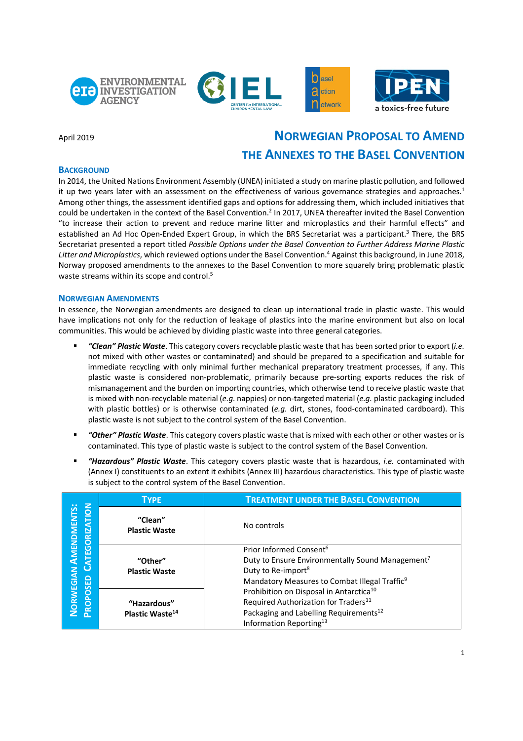





# April 2019 **NORWEGIAN PROPOSAL TO AMEND THE ANNEXES TO THE BASEL CONVENTION**

## **BACKGROUND**

In 2014, the United Nations Environment Assembly (UNEA) initiated a study on marine plastic pollution, and followed it up two years later with an assessment on the effectiveness of various governance strategies and approaches.<sup>1</sup> Among other things, the assessment identified gaps and options for addressing them, which included initiatives that could be undertaken in the context of the Basel Convention.<sup>2</sup> In 2017, UNEA thereafter invited the Basel Convention "to increase their action to prevent and reduce marine litter and microplastics and their harmful effects" and established an Ad Hoc Open-Ended Expert Group, in which the BRS Secretariat was a participant.<sup>3</sup> There, the BRS Secretariat presented a report titled *Possible Options under the Basel Convention to Further Address Marine Plastic Litter and Microplastics*, which reviewed options underthe Basel Convention.4 Against this background, in June 2018, Norway proposed amendments to the annexes to the Basel Convention to more squarely bring problematic plastic waste streams within its scope and control.<sup>5</sup>

## **NORWEGIAN AMENDMENTS**

In essence, the Norwegian amendments are designed to clean up international trade in plastic waste. This would have implications not only for the reduction of leakage of plastics into the marine environment but also on local communities. This would be achieved by dividing plastic waste into three general categories.

- § *"Clean" Plastic Waste*. This category covers recyclable plastic waste that has been sorted prior to export (*i.e.* not mixed with other wastes or contaminated) and should be prepared to a specification and suitable for immediate recycling with only minimal further mechanical preparatory treatment processes, if any. This plastic waste is considered non-problematic, primarily because pre-sorting exports reduces the risk of mismanagement and the burden on importing countries, which otherwise tend to receive plastic waste that is mixed with non-recyclable material (*e.g.* nappies) or non-targeted material (*e.g.* plastic packaging included with plastic bottles) or is otherwise contaminated (*e.g.* dirt, stones, food-contaminated cardboard). This plastic waste is not subject to the control system of the Basel Convention.
- § *"Other" Plastic Waste*. This category covers plastic waste that is mixed with each other or other wastes or is contaminated. This type of plastic waste is subject to the control system of the Basel Convention.
- § *"Hazardous" Plastic Waste*. This category covers plastic waste that is hazardous, *i.e.* contaminated with (Annex I) constituents to an extent it exhibits (Annex III) hazardous characteristics. This type of plastic waste is subject to the control system of the Basel Convention.

| <b>NOLI</b><br>NORWEGIAN AMENDMENTS:<br>EGORIZA<br>PROPOSED | <b>TYPE</b>                     | <b>TREATMENT UNDER THE BASEL CONVENTION</b>                  |
|-------------------------------------------------------------|---------------------------------|--------------------------------------------------------------|
|                                                             | "Clean"<br><b>Plastic Waste</b> | No controls                                                  |
|                                                             |                                 | Prior Informed Consent <sup>6</sup>                          |
|                                                             | "Other"                         | Duty to Ensure Environmentally Sound Management <sup>7</sup> |
|                                                             | <b>Plastic Waste</b>            | Duty to Re-import <sup>8</sup>                               |
|                                                             |                                 | Mandatory Measures to Combat Illegal Traffic <sup>9</sup>    |
|                                                             |                                 | Prohibition on Disposal in Antarctica <sup>10</sup>          |
|                                                             | "Hazardous"                     | Required Authorization for Traders <sup>11</sup>             |
|                                                             | Plastic Waste <sup>14</sup>     | Packaging and Labelling Requirements <sup>12</sup>           |
|                                                             |                                 | Information Reporting <sup>13</sup>                          |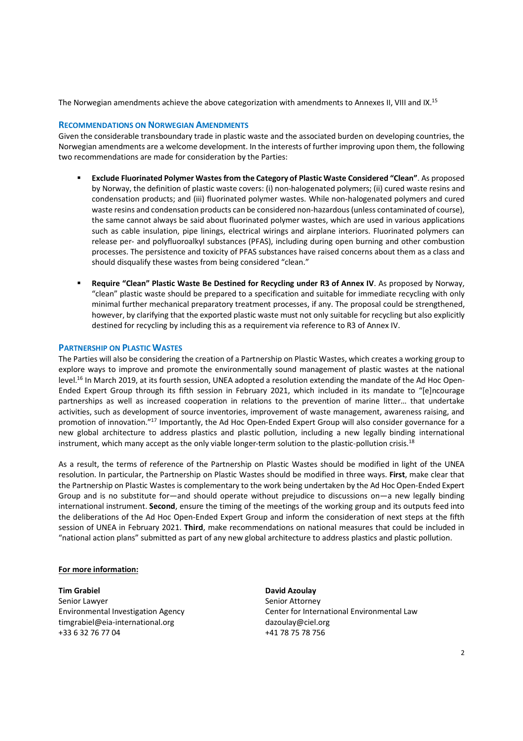The Norwegian amendments achieve the above categorization with amendments to Annexes II, VIII and IX.<sup>15</sup>

### **RECOMMENDATIONS ON NORWEGIAN AMENDMENTS**

Given the considerable transboundary trade in plastic waste and the associated burden on developing countries, the Norwegian amendments are a welcome development. In the interests of further improving upon them, the following two recommendations are made for consideration by the Parties:

- § **Exclude Fluorinated Polymer Wastesfrom the Category of Plastic Waste Considered "Clean"**. As proposed by Norway, the definition of plastic waste covers: (i) non-halogenated polymers; (ii) cured waste resins and condensation products; and (iii) fluorinated polymer wastes. While non-halogenated polymers and cured waste resins and condensation products can be considered non-hazardous (unless contaminated of course), the same cannot always be said about fluorinated polymer wastes, which are used in various applications such as cable insulation, pipe linings, electrical wirings and airplane interiors. Fluorinated polymers can release per- and polyfluoroalkyl substances (PFAS), including during open burning and other combustion processes. The persistence and toxicity of PFAS substances have raised concerns about them as a class and should disqualify these wastes from being considered "clean."
- § **Require "Clean" Plastic Waste Be Destined for Recycling under R3 of Annex IV**. As proposed by Norway, "clean" plastic waste should be prepared to a specification and suitable for immediate recycling with only minimal further mechanical preparatory treatment processes, if any. The proposal could be strengthened, however, by clarifying that the exported plastic waste must not only suitable for recycling but also explicitly destined for recycling by including this as a requirement via reference to R3 of Annex IV.

## **PARTNERSHIP ON PLASTIC WASTES**

The Parties will also be considering the creation of a Partnership on Plastic Wastes, which creates a working group to explore ways to improve and promote the environmentally sound management of plastic wastes at the national level.<sup>16</sup> In March 2019, at its fourth session, UNEA adopted a resolution extending the mandate of the Ad Hoc Open-Ended Expert Group through its fifth session in February 2021, which included in its mandate to "[e]ncourage partnerships as well as increased cooperation in relations to the prevention of marine litter… that undertake activities, such as development of source inventories, improvement of waste management, awareness raising, and promotion of innovation."17 Importantly, the Ad Hoc Open-Ended Expert Group will also consider governance for a new global architecture to address plastics and plastic pollution, including a new legally binding international instrument, which many accept as the only viable longer-term solution to the plastic-pollution crisis.<sup>18</sup>

As a result, the terms of reference of the Partnership on Plastic Wastes should be modified in light of the UNEA resolution. In particular, the Partnership on Plastic Wastes should be modified in three ways. **First**, make clear that the Partnership on Plastic Wastes is complementary to the work being undertaken by the Ad Hoc Open-Ended Expert Group and is no substitute for—and should operate without prejudice to discussions on—a new legally binding international instrument. **Second**, ensure the timing of the meetings of the working group and its outputs feed into the deliberations of the Ad Hoc Open-Ended Expert Group and inform the consideration of next steps at the fifth session of UNEA in February 2021. **Third**, make recommendations on national measures that could be included in "national action plans" submitted as part of any new global architecture to address plastics and plastic pollution.

### **For more information:**

**Tim Grabiel <b>David Azoulay** Senior Lawyer Senior Attorney timgrabiel@eia-international.org dazoulay@ciel.org +33 6 32 76 77 04 +41 78 75 78 756

Environmental Investigation Agency Center for International Environmental Law